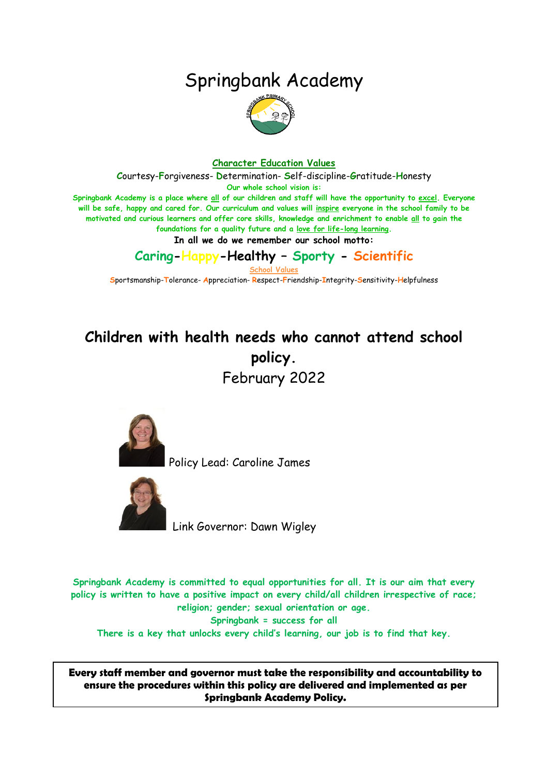# Springbank Academy



#### **Character Education Values**

**C**ourtesy-**F**orgiveness- **D**etermination- **S**elf-discipline-**G**ratitude-**H**onesty

**Our whole school vision is:**

**Springbank Academy is a place where all of our children and staff will have the opportunity to excel. Everyone will be safe, happy and cared for. Our curriculum and values will inspire everyone in the school family to be motivated and curious learners and offer core skills, knowledge and enrichment to enable all to gain the foundations for a quality future and a love for life-long learning.**

**In all we do we remember our school motto:**

**Caring-Happy-Healthy – Sporty - Scientific**

**School Values**

**S**portsmanship-**T**olerance- **A**ppreciation- **R**espect-**F**riendship-**I**ntegrity-**S**ensitivity-**H**elpfulness

## **Children with health needs who cannot attend school policy.** February 2022



Policy Lead: Caroline James



Link Governor: Dawn Wigley

**Springbank Academy is committed to equal opportunities for all. It is our aim that every policy is written to have a positive impact on every child/all children irrespective of race; religion; gender; sexual orientation or age. Springbank = success for all There is a key that unlocks every child's learning, our job is to find that key.**

**Every staff member and governor must take the responsibility and accountability to ensure the procedures within this policy are delivered and implemented as per Springbank Academy Policy.**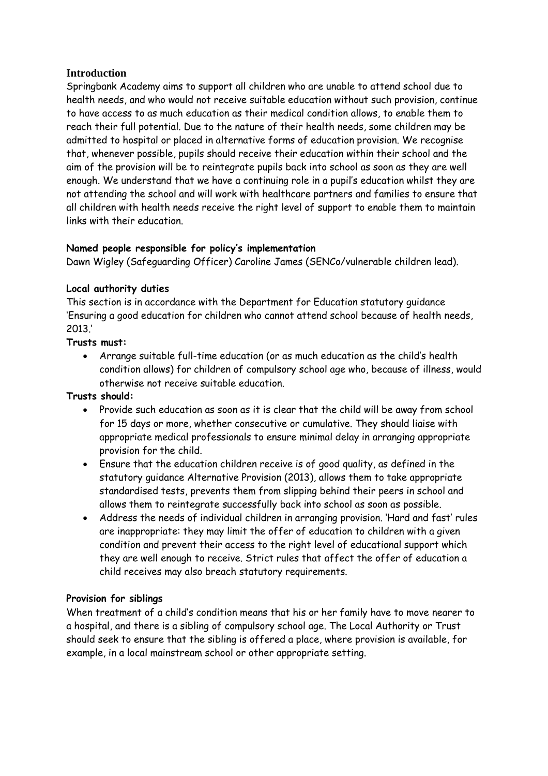## **Introduction**

Springbank Academy aims to support all children who are unable to attend school due to health needs, and who would not receive suitable education without such provision, continue to have access to as much education as their medical condition allows, to enable them to reach their full potential. Due to the nature of their health needs, some children may be admitted to hospital or placed in alternative forms of education provision. We recognise that, whenever possible, pupils should receive their education within their school and the aim of the provision will be to reintegrate pupils back into school as soon as they are well enough. We understand that we have a continuing role in a pupil's education whilst they are not attending the school and will work with healthcare partners and families to ensure that all children with health needs receive the right level of support to enable them to maintain links with their education.

#### **Named people responsible for policy's implementation**

Dawn Wigley (Safeguarding Officer) Caroline James (SENCo/vulnerable children lead).

#### **Local authority duties**

This section is in accordance with the Department for Education statutory guidance 'Ensuring a good education for children who cannot attend school because of health needs, 2013.'

#### **Trusts must:**

• Arrange suitable full-time education (or as much education as the child's health condition allows) for children of compulsory school age who, because of illness, would otherwise not receive suitable education.

#### **Trusts should:**

- Provide such education as soon as it is clear that the child will be away from school for 15 days or more, whether consecutive or cumulative. They should liaise with appropriate medical professionals to ensure minimal delay in arranging appropriate provision for the child.
- Ensure that the education children receive is of good quality, as defined in the statutory guidance Alternative Provision (2013), allows them to take appropriate standardised tests, prevents them from slipping behind their peers in school and allows them to reintegrate successfully back into school as soon as possible.
- Address the needs of individual children in arranging provision. 'Hard and fast' rules are inappropriate: they may limit the offer of education to children with a given condition and prevent their access to the right level of educational support which they are well enough to receive. Strict rules that affect the offer of education a child receives may also breach statutory requirements.

## **Provision for siblings**

When treatment of a child's condition means that his or her family have to move nearer to a hospital, and there is a sibling of compulsory school age. The Local Authority or Trust should seek to ensure that the sibling is offered a place, where provision is available, for example, in a local mainstream school or other appropriate setting.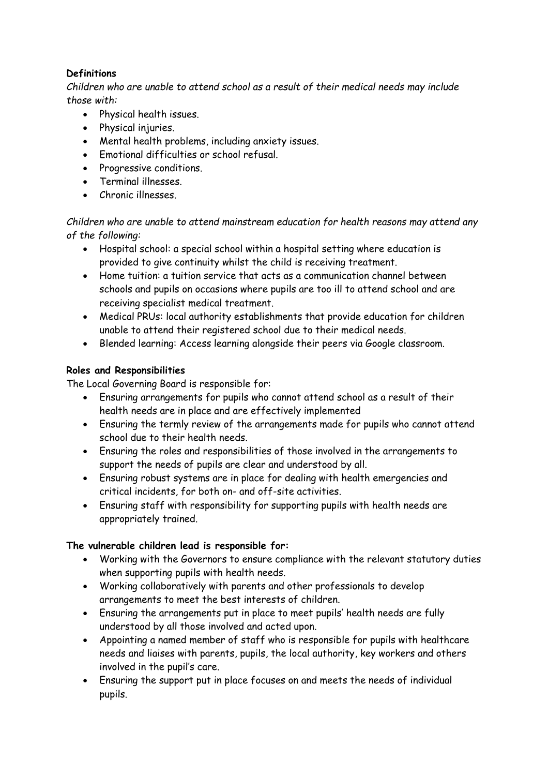## **Definitions**

*Children who are unable to attend school as a result of their medical needs may include those with:* 

- Physical health issues.
- Physical injuries.
- Mental health problems, including anxiety issues.
- Emotional difficulties or school refusal.
- Progressive conditions.
- Terminal illnesses.
- Chronic illnesses.

*Children who are unable to attend mainstream education for health reasons may attend any of the following:* 

- Hospital school: a special school within a hospital setting where education is provided to give continuity whilst the child is receiving treatment.
- Home tuition: a tuition service that acts as a communication channel between schools and pupils on occasions where pupils are too ill to attend school and are receiving specialist medical treatment.
- Medical PRUs: local authority establishments that provide education for children unable to attend their registered school due to their medical needs.
- Blended learning: Access learning alongside their peers via Google classroom.

## **Roles and Responsibilities**

The Local Governing Board is responsible for:

- Ensuring arrangements for pupils who cannot attend school as a result of their health needs are in place and are effectively implemented
- Ensuring the termly review of the arrangements made for pupils who cannot attend school due to their health needs.
- Ensuring the roles and responsibilities of those involved in the arrangements to support the needs of pupils are clear and understood by all.
- Ensuring robust systems are in place for dealing with health emergencies and critical incidents, for both on- and off-site activities.
- Ensuring staff with responsibility for supporting pupils with health needs are appropriately trained.

## **The vulnerable children lead is responsible for:**

- Working with the Governors to ensure compliance with the relevant statutory duties when supporting pupils with health needs.
- Working collaboratively with parents and other professionals to develop arrangements to meet the best interests of children.
- Ensuring the arrangements put in place to meet pupils' health needs are fully understood by all those involved and acted upon.
- Appointing a named member of staff who is responsible for pupils with healthcare needs and liaises with parents, pupils, the local authority, key workers and others involved in the pupil's care.
- Ensuring the support put in place focuses on and meets the needs of individual pupils.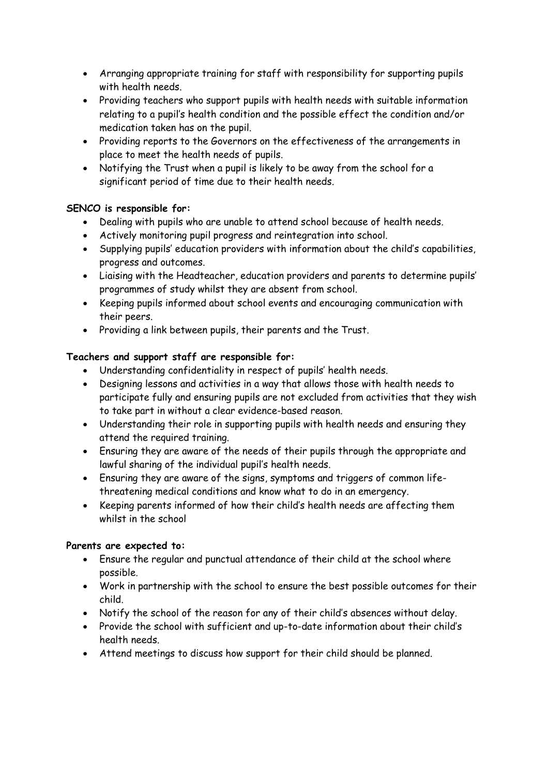- Arranging appropriate training for staff with responsibility for supporting pupils with health needs.
- Providing teachers who support pupils with health needs with suitable information relating to a pupil's health condition and the possible effect the condition and/or medication taken has on the pupil.
- Providing reports to the Governors on the effectiveness of the arrangements in place to meet the health needs of pupils.
- Notifying the Trust when a pupil is likely to be away from the school for a significant period of time due to their health needs.

## **SENCO is responsible for:**

- Dealing with pupils who are unable to attend school because of health needs.
- Actively monitoring pupil progress and reintegration into school.
- Supplying pupils' education providers with information about the child's capabilities, progress and outcomes.
- Liaising with the Headteacher, education providers and parents to determine pupils' programmes of study whilst they are absent from school.
- Keeping pupils informed about school events and encouraging communication with their peers.
- Providing a link between pupils, their parents and the Trust.

## **Teachers and support staff are responsible for:**

- Understanding confidentiality in respect of pupils' health needs.
- Designing lessons and activities in a way that allows those with health needs to participate fully and ensuring pupils are not excluded from activities that they wish to take part in without a clear evidence-based reason.
- Understanding their role in supporting pupils with health needs and ensuring they attend the required training.
- Ensuring they are aware of the needs of their pupils through the appropriate and lawful sharing of the individual pupil's health needs.
- Ensuring they are aware of the signs, symptoms and triggers of common lifethreatening medical conditions and know what to do in an emergency.
- Keeping parents informed of how their child's health needs are affecting them whilst in the school

## **Parents are expected to:**

- Ensure the regular and punctual attendance of their child at the school where possible.
- Work in partnership with the school to ensure the best possible outcomes for their child.
- Notify the school of the reason for any of their child's absences without delay.
- Provide the school with sufficient and up-to-date information about their child's health needs.
- Attend meetings to discuss how support for their child should be planned.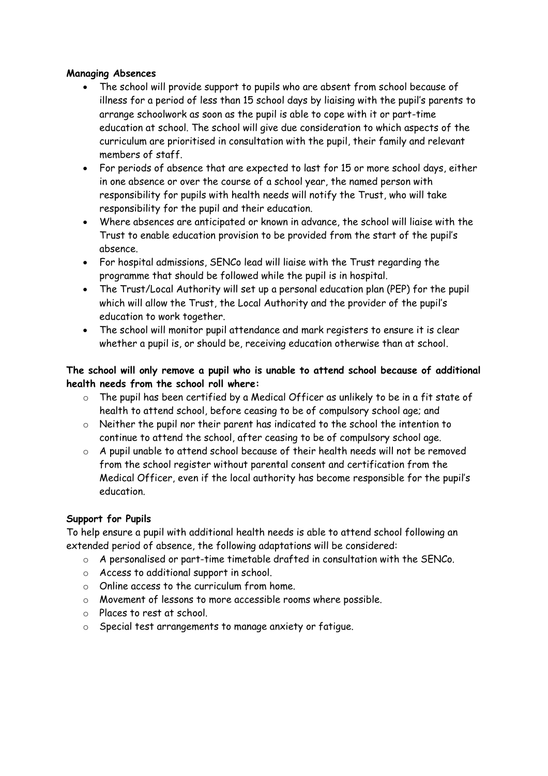#### **Managing Absences**

- The school will provide support to pupils who are absent from school because of illness for a period of less than 15 school days by liaising with the pupil's parents to arrange schoolwork as soon as the pupil is able to cope with it or part-time education at school. The school will give due consideration to which aspects of the curriculum are prioritised in consultation with the pupil, their family and relevant members of staff.
- For periods of absence that are expected to last for 15 or more school days, either in one absence or over the course of a school year, the named person with responsibility for pupils with health needs will notify the Trust, who will take responsibility for the pupil and their education.
- Where absences are anticipated or known in advance, the school will liaise with the Trust to enable education provision to be provided from the start of the pupil's absence.
- For hospital admissions, SENCo lead will liaise with the Trust regarding the programme that should be followed while the pupil is in hospital.
- The Trust/Local Authority will set up a personal education plan (PEP) for the pupil which will allow the Trust, the Local Authority and the provider of the pupil's education to work together.
- The school will monitor pupil attendance and mark registers to ensure it is clear whether a pupil is, or should be, receiving education otherwise than at school.

**The school will only remove a pupil who is unable to attend school because of additional health needs from the school roll where:** 

- o The pupil has been certified by a Medical Officer as unlikely to be in a fit state of health to attend school, before ceasing to be of compulsory school age; and
- $\circ$  Neither the pupil nor their parent has indicated to the school the intention to continue to attend the school, after ceasing to be of compulsory school age.
- o A pupil unable to attend school because of their health needs will not be removed from the school register without parental consent and certification from the Medical Officer, even if the local authority has become responsible for the pupil's education.

## **Support for Pupils**

To help ensure a pupil with additional health needs is able to attend school following an extended period of absence, the following adaptations will be considered:

- o A personalised or part-time timetable drafted in consultation with the SENCo.
- o Access to additional support in school.
- o Online access to the curriculum from home.
- o Movement of lessons to more accessible rooms where possible.
- o Places to rest at school.
- o Special test arrangements to manage anxiety or fatigue.